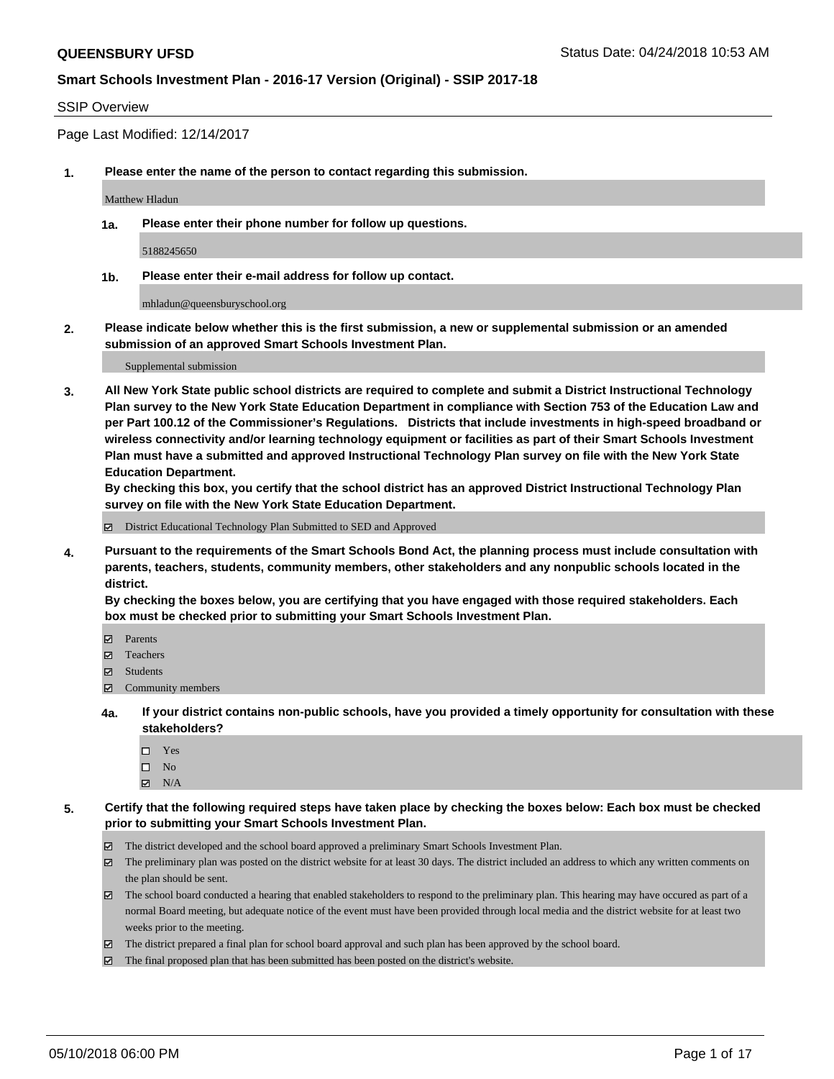#### SSIP Overview

Page Last Modified: 12/14/2017

**1. Please enter the name of the person to contact regarding this submission.**

Matthew Hladun

**1a. Please enter their phone number for follow up questions.**

5188245650

**1b. Please enter their e-mail address for follow up contact.**

mhladun@queensburyschool.org

**2. Please indicate below whether this is the first submission, a new or supplemental submission or an amended submission of an approved Smart Schools Investment Plan.**

Supplemental submission

**3. All New York State public school districts are required to complete and submit a District Instructional Technology Plan survey to the New York State Education Department in compliance with Section 753 of the Education Law and per Part 100.12 of the Commissioner's Regulations. Districts that include investments in high-speed broadband or wireless connectivity and/or learning technology equipment or facilities as part of their Smart Schools Investment Plan must have a submitted and approved Instructional Technology Plan survey on file with the New York State Education Department.** 

**By checking this box, you certify that the school district has an approved District Instructional Technology Plan survey on file with the New York State Education Department.**

District Educational Technology Plan Submitted to SED and Approved

**4. Pursuant to the requirements of the Smart Schools Bond Act, the planning process must include consultation with parents, teachers, students, community members, other stakeholders and any nonpublic schools located in the district.** 

**By checking the boxes below, you are certifying that you have engaged with those required stakeholders. Each box must be checked prior to submitting your Smart Schools Investment Plan.**

- Parents
- Teachers
- Students
- $\Xi$  Community members
- **4a. If your district contains non-public schools, have you provided a timely opportunity for consultation with these stakeholders?**
	- Yes
	- $\square$  No
	- $N/A$
- **5. Certify that the following required steps have taken place by checking the boxes below: Each box must be checked prior to submitting your Smart Schools Investment Plan.**
	- The district developed and the school board approved a preliminary Smart Schools Investment Plan.
	- $\boxtimes$  The preliminary plan was posted on the district website for at least 30 days. The district included an address to which any written comments on the plan should be sent.
	- $\boxtimes$  The school board conducted a hearing that enabled stakeholders to respond to the preliminary plan. This hearing may have occured as part of a normal Board meeting, but adequate notice of the event must have been provided through local media and the district website for at least two weeks prior to the meeting.
	- The district prepared a final plan for school board approval and such plan has been approved by the school board.
	- $\boxtimes$  The final proposed plan that has been submitted has been posted on the district's website.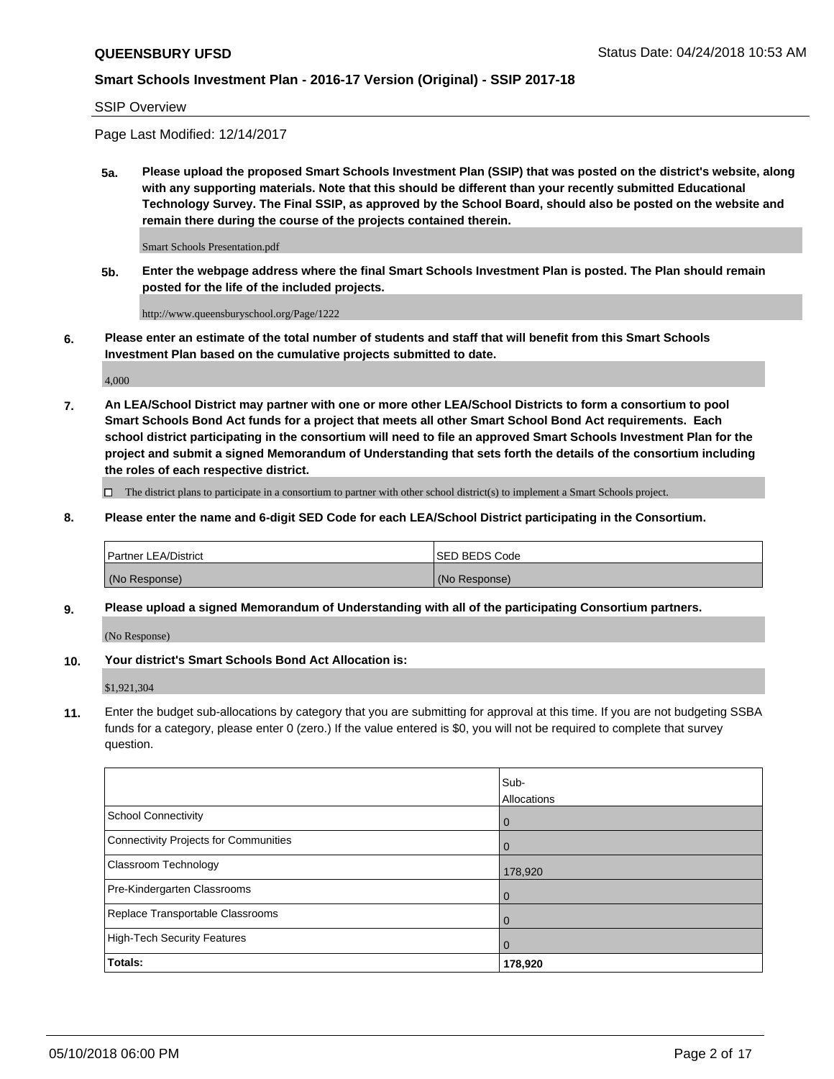SSIP Overview

Page Last Modified: 12/14/2017

**5a. Please upload the proposed Smart Schools Investment Plan (SSIP) that was posted on the district's website, along with any supporting materials. Note that this should be different than your recently submitted Educational Technology Survey. The Final SSIP, as approved by the School Board, should also be posted on the website and remain there during the course of the projects contained therein.**

Smart Schools Presentation.pdf

**5b. Enter the webpage address where the final Smart Schools Investment Plan is posted. The Plan should remain posted for the life of the included projects.**

http://www.queensburyschool.org/Page/1222

**6. Please enter an estimate of the total number of students and staff that will benefit from this Smart Schools Investment Plan based on the cumulative projects submitted to date.**

4,000

**7. An LEA/School District may partner with one or more other LEA/School Districts to form a consortium to pool Smart Schools Bond Act funds for a project that meets all other Smart School Bond Act requirements. Each school district participating in the consortium will need to file an approved Smart Schools Investment Plan for the project and submit a signed Memorandum of Understanding that sets forth the details of the consortium including the roles of each respective district.**

 $\Box$  The district plans to participate in a consortium to partner with other school district(s) to implement a Smart Schools project.

**8. Please enter the name and 6-digit SED Code for each LEA/School District participating in the Consortium.**

| <b>Partner LEA/District</b> | <b>ISED BEDS Code</b> |
|-----------------------------|-----------------------|
| (No Response)               | (No Response)         |

#### **9. Please upload a signed Memorandum of Understanding with all of the participating Consortium partners.**

(No Response)

**10. Your district's Smart Schools Bond Act Allocation is:**

\$1,921,304

**11.** Enter the budget sub-allocations by category that you are submitting for approval at this time. If you are not budgeting SSBA funds for a category, please enter 0 (zero.) If the value entered is \$0, you will not be required to complete that survey question.

|                                       | Sub-<br><b>Allocations</b> |
|---------------------------------------|----------------------------|
| School Connectivity                   | l 0                        |
| Connectivity Projects for Communities | $\overline{0}$             |
| Classroom Technology                  | 178,920                    |
| Pre-Kindergarten Classrooms           | $\overline{0}$             |
| Replace Transportable Classrooms      | $\Omega$                   |
| High-Tech Security Features           | $\overline{0}$             |
| Totals:                               | 178,920                    |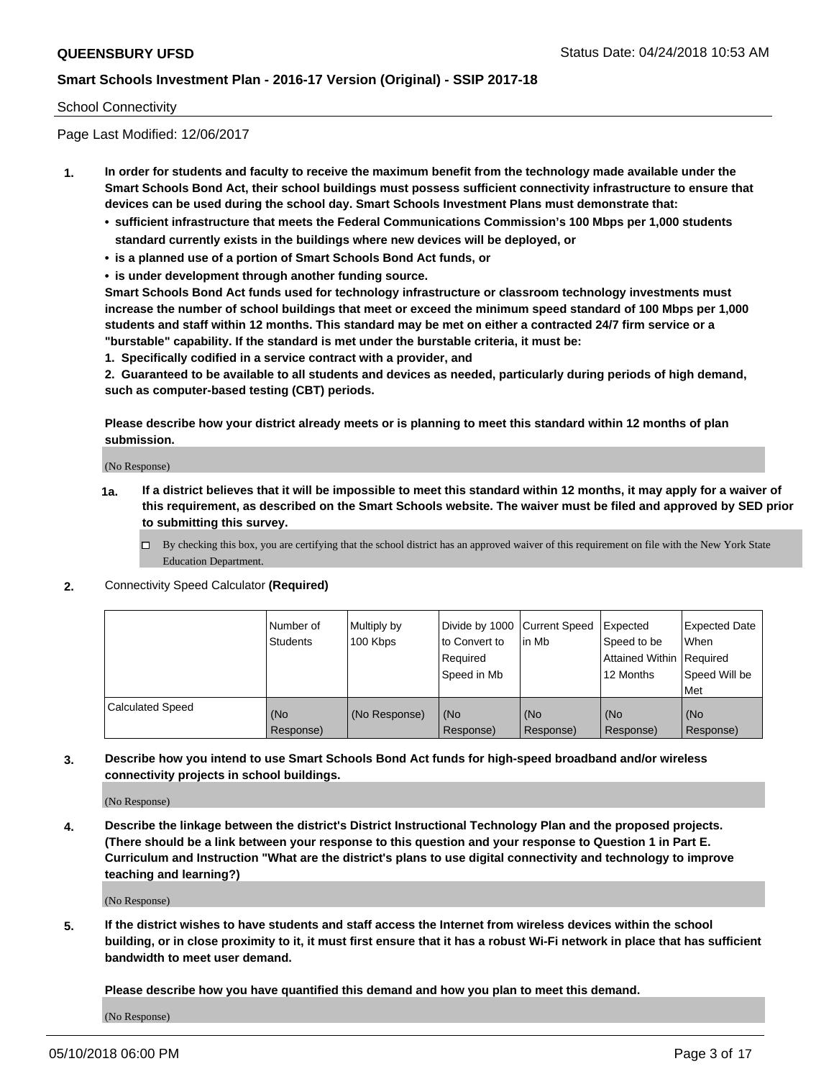#### School Connectivity

Page Last Modified: 12/06/2017

- **1. In order for students and faculty to receive the maximum benefit from the technology made available under the Smart Schools Bond Act, their school buildings must possess sufficient connectivity infrastructure to ensure that devices can be used during the school day. Smart Schools Investment Plans must demonstrate that:**
	- **• sufficient infrastructure that meets the Federal Communications Commission's 100 Mbps per 1,000 students standard currently exists in the buildings where new devices will be deployed, or**
	- **• is a planned use of a portion of Smart Schools Bond Act funds, or**
	- **• is under development through another funding source.**

**Smart Schools Bond Act funds used for technology infrastructure or classroom technology investments must increase the number of school buildings that meet or exceed the minimum speed standard of 100 Mbps per 1,000 students and staff within 12 months. This standard may be met on either a contracted 24/7 firm service or a "burstable" capability. If the standard is met under the burstable criteria, it must be:**

**1. Specifically codified in a service contract with a provider, and**

**2. Guaranteed to be available to all students and devices as needed, particularly during periods of high demand, such as computer-based testing (CBT) periods.**

**Please describe how your district already meets or is planning to meet this standard within 12 months of plan submission.**

(No Response)

- **1a. If a district believes that it will be impossible to meet this standard within 12 months, it may apply for a waiver of this requirement, as described on the Smart Schools website. The waiver must be filed and approved by SED prior to submitting this survey.**
	- By checking this box, you are certifying that the school district has an approved waiver of this requirement on file with the New York State Education Department.
- **2.** Connectivity Speed Calculator **(Required)**

|                         | l Number of<br><b>Students</b> | Multiply by<br>100 Kbps | Divide by 1000 Current Speed<br>to Convert to<br>Reauired<br>Speed in Mb | lin Mb           | Expected<br>Speed to be<br><b>Attained Within Required</b><br>12 Months | Expected Date<br><b>When</b><br>Speed Will be<br>l Met |
|-------------------------|--------------------------------|-------------------------|--------------------------------------------------------------------------|------------------|-------------------------------------------------------------------------|--------------------------------------------------------|
| <b>Calculated Speed</b> | (No<br>Response)               | (No Response)           | (No<br>Response)                                                         | (No<br>Response) | (No<br>Response)                                                        | l (No<br>Response)                                     |

**3. Describe how you intend to use Smart Schools Bond Act funds for high-speed broadband and/or wireless connectivity projects in school buildings.**

(No Response)

**4. Describe the linkage between the district's District Instructional Technology Plan and the proposed projects. (There should be a link between your response to this question and your response to Question 1 in Part E. Curriculum and Instruction "What are the district's plans to use digital connectivity and technology to improve teaching and learning?)**

(No Response)

**5. If the district wishes to have students and staff access the Internet from wireless devices within the school building, or in close proximity to it, it must first ensure that it has a robust Wi-Fi network in place that has sufficient bandwidth to meet user demand.**

**Please describe how you have quantified this demand and how you plan to meet this demand.**

(No Response)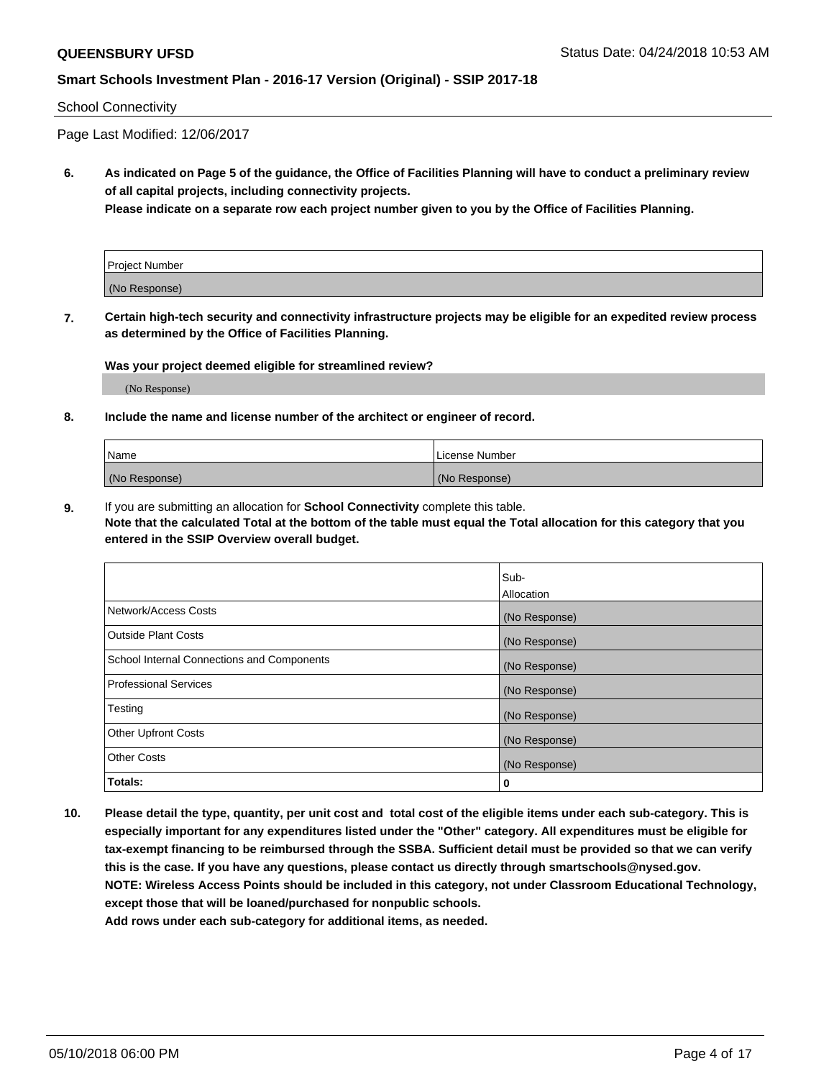#### School Connectivity

Page Last Modified: 12/06/2017

**6. As indicated on Page 5 of the guidance, the Office of Facilities Planning will have to conduct a preliminary review of all capital projects, including connectivity projects.**

**Please indicate on a separate row each project number given to you by the Office of Facilities Planning.**

| <b>Project Number</b> |  |
|-----------------------|--|
| (No Response)         |  |

**7. Certain high-tech security and connectivity infrastructure projects may be eligible for an expedited review process as determined by the Office of Facilities Planning.**

#### **Was your project deemed eligible for streamlined review?**

(No Response)

#### **8. Include the name and license number of the architect or engineer of record.**

| l Name        | l License Number |
|---------------|------------------|
| (No Response) | (No Response)    |

**9.** If you are submitting an allocation for **School Connectivity** complete this table.

**Note that the calculated Total at the bottom of the table must equal the Total allocation for this category that you entered in the SSIP Overview overall budget.** 

|                                            | Sub-<br><b>Allocation</b> |
|--------------------------------------------|---------------------------|
| Network/Access Costs                       | (No Response)             |
| Outside Plant Costs                        | (No Response)             |
| School Internal Connections and Components | (No Response)             |
| Professional Services                      | (No Response)             |
| Testing                                    | (No Response)             |
| <b>Other Upfront Costs</b>                 | (No Response)             |
| <b>Other Costs</b>                         | (No Response)             |
| Totals:                                    | 0                         |

**10. Please detail the type, quantity, per unit cost and total cost of the eligible items under each sub-category. This is especially important for any expenditures listed under the "Other" category. All expenditures must be eligible for tax-exempt financing to be reimbursed through the SSBA. Sufficient detail must be provided so that we can verify this is the case. If you have any questions, please contact us directly through smartschools@nysed.gov. NOTE: Wireless Access Points should be included in this category, not under Classroom Educational Technology, except those that will be loaned/purchased for nonpublic schools.**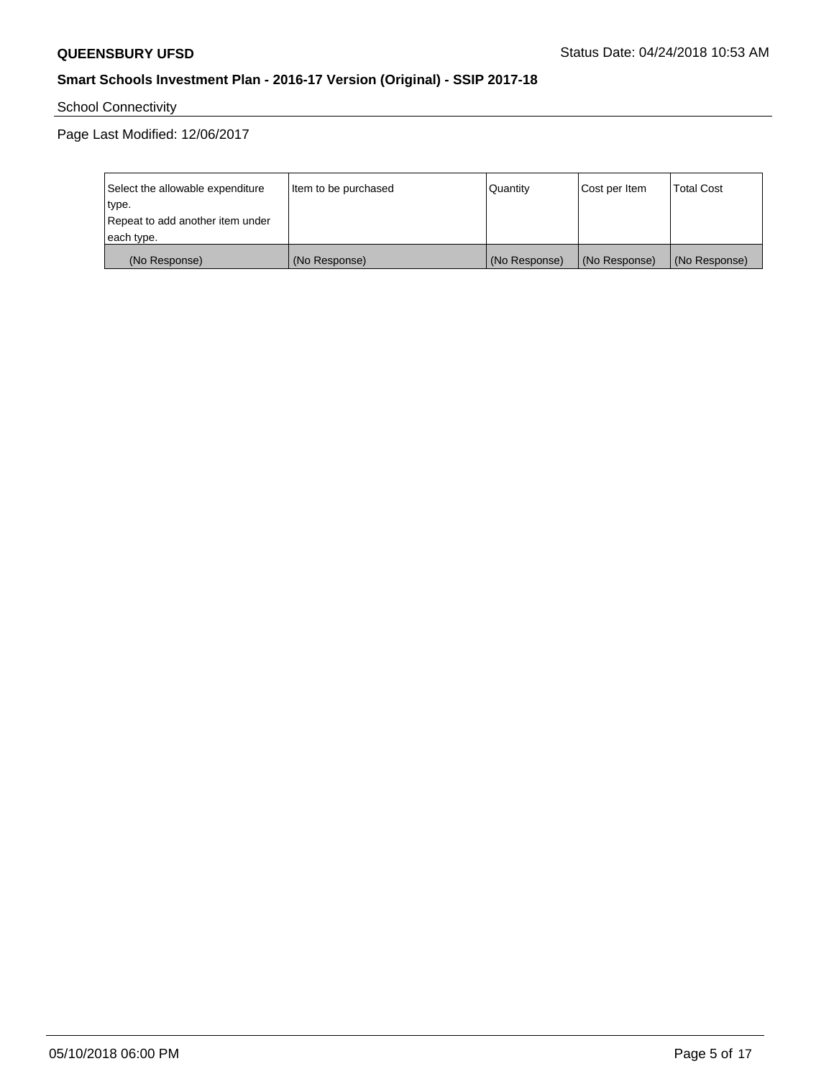School Connectivity

Page Last Modified: 12/06/2017

| Select the allowable expenditure | Item to be purchased | Quantity      | Cost per Item | <b>Total Cost</b> |
|----------------------------------|----------------------|---------------|---------------|-------------------|
| type.                            |                      |               |               |                   |
| Repeat to add another item under |                      |               |               |                   |
| each type.                       |                      |               |               |                   |
| (No Response)                    | (No Response)        | (No Response) | (No Response) | (No Response)     |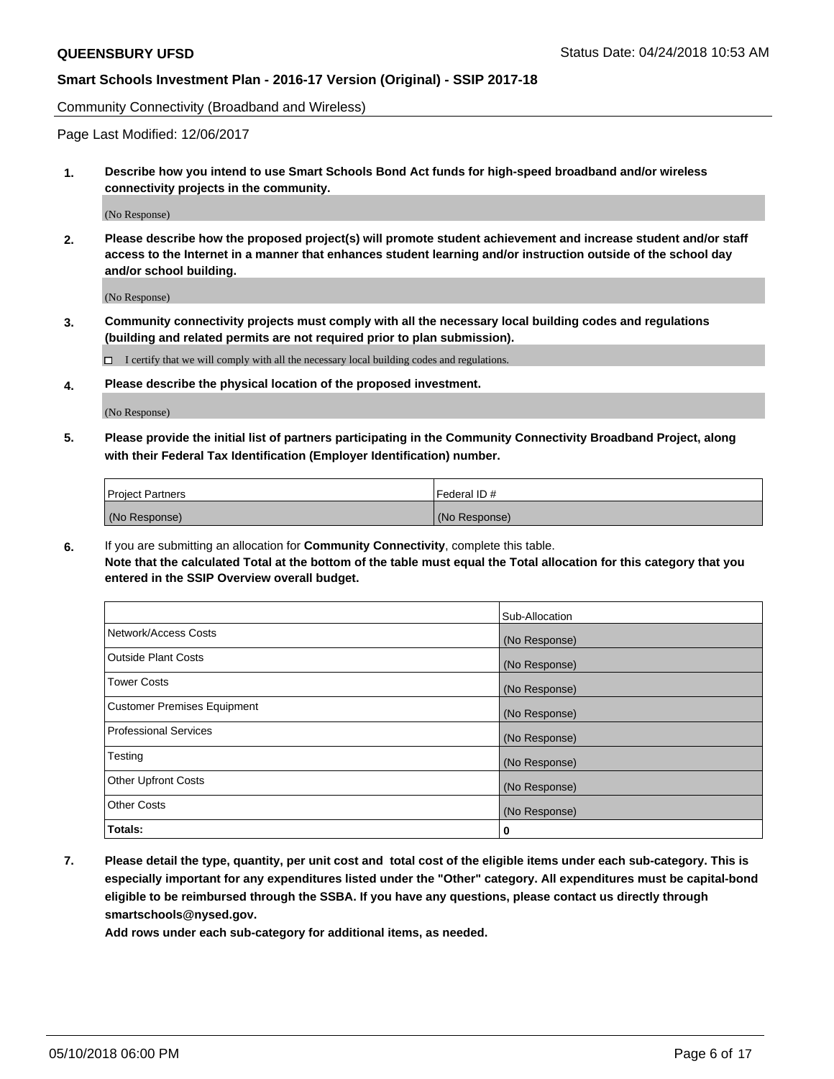Community Connectivity (Broadband and Wireless)

Page Last Modified: 12/06/2017

**1. Describe how you intend to use Smart Schools Bond Act funds for high-speed broadband and/or wireless connectivity projects in the community.**

(No Response)

**2. Please describe how the proposed project(s) will promote student achievement and increase student and/or staff access to the Internet in a manner that enhances student learning and/or instruction outside of the school day and/or school building.**

(No Response)

**3. Community connectivity projects must comply with all the necessary local building codes and regulations (building and related permits are not required prior to plan submission).**

 $\Box$  I certify that we will comply with all the necessary local building codes and regulations.

**4. Please describe the physical location of the proposed investment.**

(No Response)

**5. Please provide the initial list of partners participating in the Community Connectivity Broadband Project, along with their Federal Tax Identification (Employer Identification) number.**

| <b>Project Partners</b> | l Federal ID # |
|-------------------------|----------------|
| (No Response)           | (No Response)  |

**6.** If you are submitting an allocation for **Community Connectivity**, complete this table. **Note that the calculated Total at the bottom of the table must equal the Total allocation for this category that you entered in the SSIP Overview overall budget.**

|                                    | Sub-Allocation |
|------------------------------------|----------------|
| Network/Access Costs               | (No Response)  |
| Outside Plant Costs                | (No Response)  |
| <b>Tower Costs</b>                 | (No Response)  |
| <b>Customer Premises Equipment</b> | (No Response)  |
| Professional Services              | (No Response)  |
| Testing                            | (No Response)  |
| <b>Other Upfront Costs</b>         | (No Response)  |
| <b>Other Costs</b>                 | (No Response)  |
| Totals:                            | 0              |

**7. Please detail the type, quantity, per unit cost and total cost of the eligible items under each sub-category. This is especially important for any expenditures listed under the "Other" category. All expenditures must be capital-bond eligible to be reimbursed through the SSBA. If you have any questions, please contact us directly through smartschools@nysed.gov.**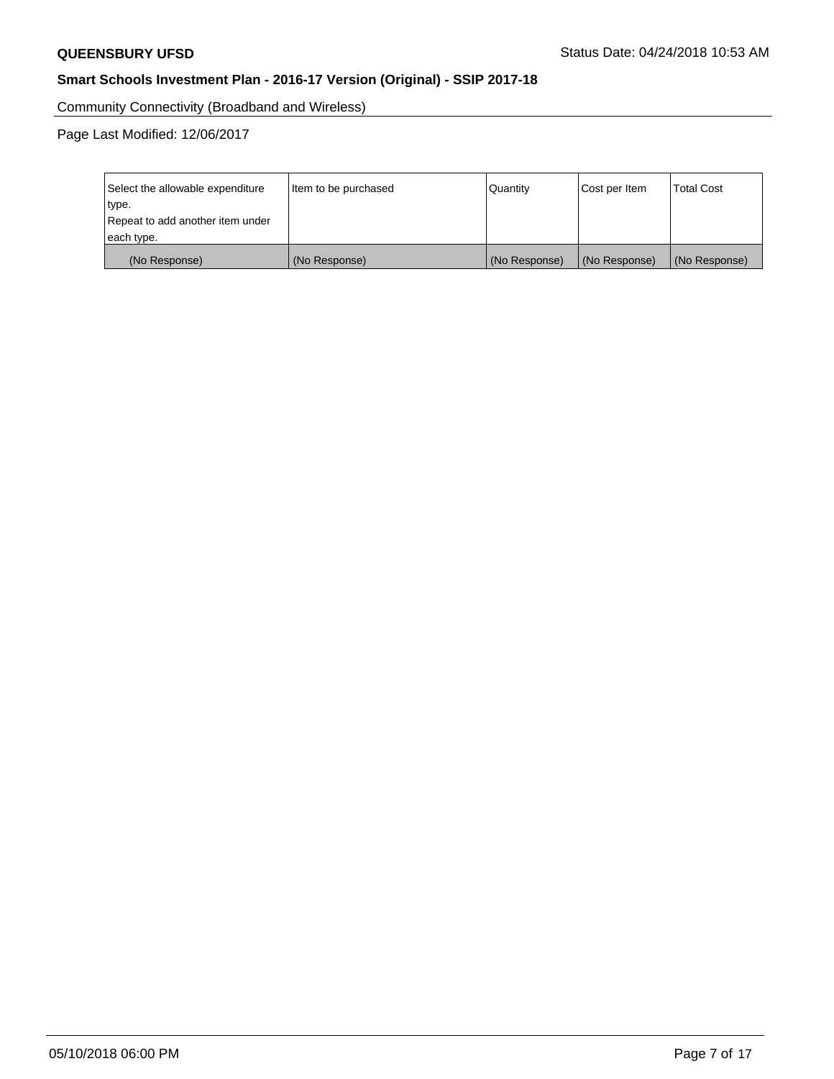Community Connectivity (Broadband and Wireless)

Page Last Modified: 12/06/2017

| Select the allowable expenditure | Item to be purchased | Quantity      | Cost per Item | <b>Total Cost</b> |
|----------------------------------|----------------------|---------------|---------------|-------------------|
| type.                            |                      |               |               |                   |
| Repeat to add another item under |                      |               |               |                   |
| each type.                       |                      |               |               |                   |
| (No Response)                    | (No Response)        | (No Response) | (No Response) | (No Response)     |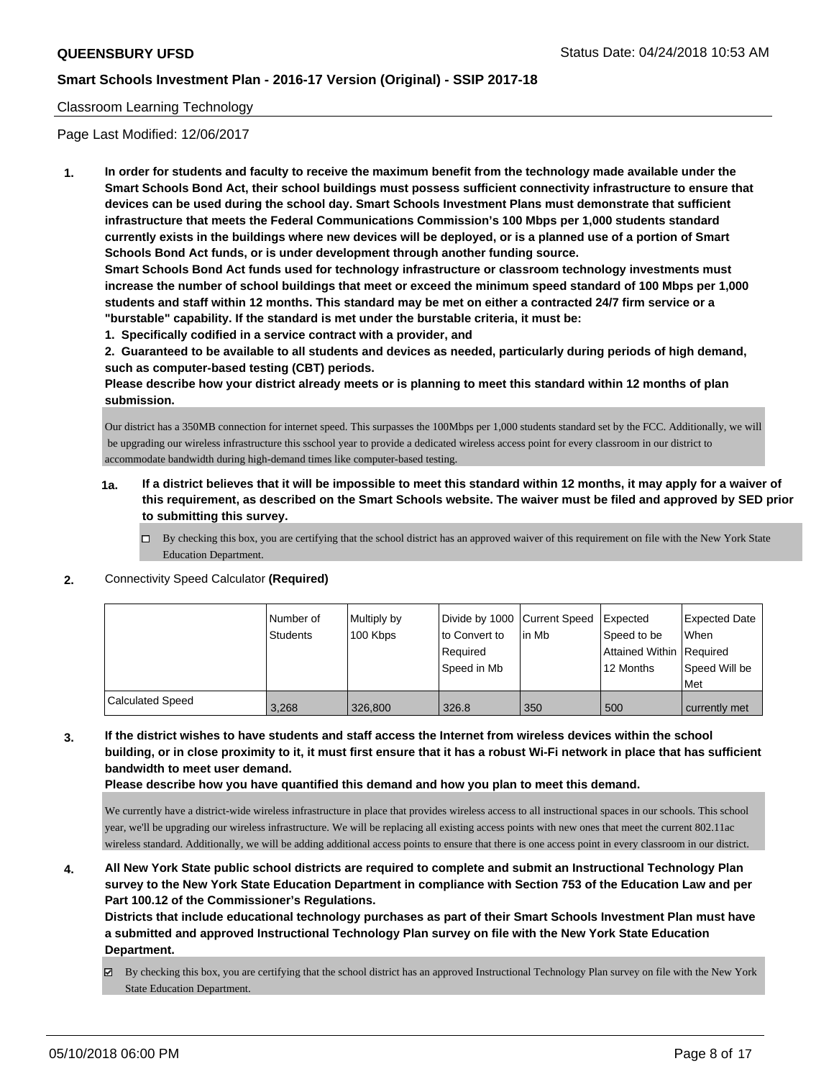#### Classroom Learning Technology

Page Last Modified: 12/06/2017

**1. In order for students and faculty to receive the maximum benefit from the technology made available under the Smart Schools Bond Act, their school buildings must possess sufficient connectivity infrastructure to ensure that devices can be used during the school day. Smart Schools Investment Plans must demonstrate that sufficient infrastructure that meets the Federal Communications Commission's 100 Mbps per 1,000 students standard currently exists in the buildings where new devices will be deployed, or is a planned use of a portion of Smart Schools Bond Act funds, or is under development through another funding source.**

**Smart Schools Bond Act funds used for technology infrastructure or classroom technology investments must increase the number of school buildings that meet or exceed the minimum speed standard of 100 Mbps per 1,000 students and staff within 12 months. This standard may be met on either a contracted 24/7 firm service or a "burstable" capability. If the standard is met under the burstable criteria, it must be:**

**1. Specifically codified in a service contract with a provider, and**

**2. Guaranteed to be available to all students and devices as needed, particularly during periods of high demand, such as computer-based testing (CBT) periods.**

**Please describe how your district already meets or is planning to meet this standard within 12 months of plan submission.**

Our district has a 350MB connection for internet speed. This surpasses the 100Mbps per 1,000 students standard set by the FCC. Additionally, we will be upgrading our wireless infrastructure this sschool year to provide a dedicated wireless access point for every classroom in our district to accommodate bandwidth during high-demand times like computer-based testing.

- **1a. If a district believes that it will be impossible to meet this standard within 12 months, it may apply for a waiver of this requirement, as described on the Smart Schools website. The waiver must be filed and approved by SED prior to submitting this survey.**
	- By checking this box, you are certifying that the school district has an approved waiver of this requirement on file with the New York State Education Department.
- **2.** Connectivity Speed Calculator **(Required)**

|                         | Number of<br><b>Students</b> | Multiply by<br>100 Kbps | Divide by 1000 Current Speed<br>to Convert to<br>Required<br>Speed in Mb | lin Mb | Expected<br>Speed to be<br>Attained Within Required<br>12 Months | Expected Date<br>When<br>Speed Will be<br>Met |
|-------------------------|------------------------------|-------------------------|--------------------------------------------------------------------------|--------|------------------------------------------------------------------|-----------------------------------------------|
| <b>Calculated Speed</b> | 3,268                        | 326,800                 | 326.8                                                                    | 350    | 500                                                              | currently met                                 |

**3. If the district wishes to have students and staff access the Internet from wireless devices within the school building, or in close proximity to it, it must first ensure that it has a robust Wi-Fi network in place that has sufficient bandwidth to meet user demand.**

**Please describe how you have quantified this demand and how you plan to meet this demand.**

We currently have a district-wide wireless infrastructure in place that provides wireless access to all instructional spaces in our schools. This school year, we'll be upgrading our wireless infrastructure. We will be replacing all existing access points with new ones that meet the current 802.11ac wireless standard. Additionally, we will be adding additional access points to ensure that there is one access point in every classroom in our district.

**4. All New York State public school districts are required to complete and submit an Instructional Technology Plan survey to the New York State Education Department in compliance with Section 753 of the Education Law and per Part 100.12 of the Commissioner's Regulations.**

**Districts that include educational technology purchases as part of their Smart Schools Investment Plan must have a submitted and approved Instructional Technology Plan survey on file with the New York State Education Department.**

By checking this box, you are certifying that the school district has an approved Instructional Technology Plan survey on file with the New York State Education Department.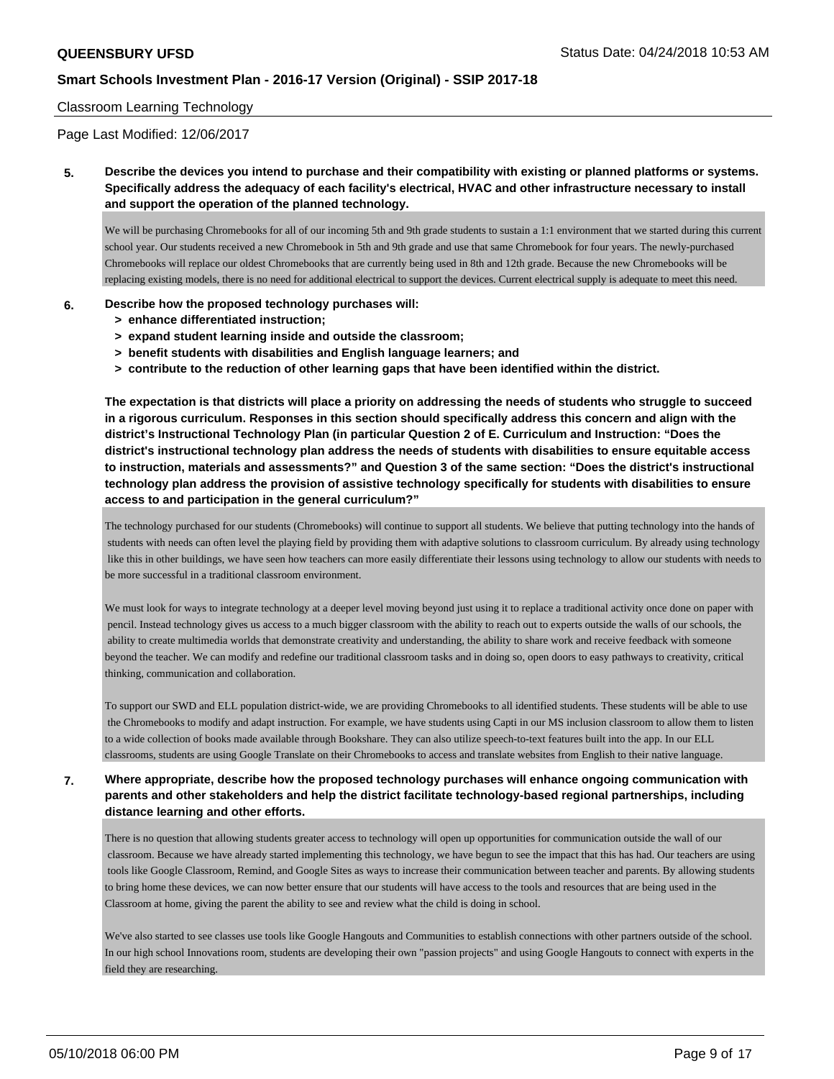#### Classroom Learning Technology

Page Last Modified: 12/06/2017

**5. Describe the devices you intend to purchase and their compatibility with existing or planned platforms or systems. Specifically address the adequacy of each facility's electrical, HVAC and other infrastructure necessary to install and support the operation of the planned technology.**

We will be purchasing Chromebooks for all of our incoming 5th and 9th grade students to sustain a 1:1 environment that we started during this current school year. Our students received a new Chromebook in 5th and 9th grade and use that same Chromebook for four years. The newly-purchased Chromebooks will replace our oldest Chromebooks that are currently being used in 8th and 12th grade. Because the new Chromebooks will be replacing existing models, there is no need for additional electrical to support the devices. Current electrical supply is adequate to meet this need.

#### **6. Describe how the proposed technology purchases will:**

- **> enhance differentiated instruction;**
- **> expand student learning inside and outside the classroom;**
- **> benefit students with disabilities and English language learners; and**
- **> contribute to the reduction of other learning gaps that have been identified within the district.**

**The expectation is that districts will place a priority on addressing the needs of students who struggle to succeed in a rigorous curriculum. Responses in this section should specifically address this concern and align with the district's Instructional Technology Plan (in particular Question 2 of E. Curriculum and Instruction: "Does the district's instructional technology plan address the needs of students with disabilities to ensure equitable access to instruction, materials and assessments?" and Question 3 of the same section: "Does the district's instructional technology plan address the provision of assistive technology specifically for students with disabilities to ensure access to and participation in the general curriculum?"**

The technology purchased for our students (Chromebooks) will continue to support all students. We believe that putting technology into the hands of students with needs can often level the playing field by providing them with adaptive solutions to classroom curriculum. By already using technology like this in other buildings, we have seen how teachers can more easily differentiate their lessons using technology to allow our students with needs to be more successful in a traditional classroom environment.

We must look for ways to integrate technology at a deeper level moving beyond just using it to replace a traditional activity once done on paper with pencil. Instead technology gives us access to a much bigger classroom with the ability to reach out to experts outside the walls of our schools, the ability to create multimedia worlds that demonstrate creativity and understanding, the ability to share work and receive feedback with someone beyond the teacher. We can modify and redefine our traditional classroom tasks and in doing so, open doors to easy pathways to creativity, critical thinking, communication and collaboration.

To support our SWD and ELL population district-wide, we are providing Chromebooks to all identified students. These students will be able to use the Chromebooks to modify and adapt instruction. For example, we have students using Capti in our MS inclusion classroom to allow them to listen to a wide collection of books made available through Bookshare. They can also utilize speech-to-text features built into the app. In our ELL classrooms, students are using Google Translate on their Chromebooks to access and translate websites from English to their native language.

**7. Where appropriate, describe how the proposed technology purchases will enhance ongoing communication with parents and other stakeholders and help the district facilitate technology-based regional partnerships, including distance learning and other efforts.**

There is no question that allowing students greater access to technology will open up opportunities for communication outside the wall of our classroom. Because we have already started implementing this technology, we have begun to see the impact that this has had. Our teachers are using tools like Google Classroom, Remind, and Google Sites as ways to increase their communication between teacher and parents. By allowing students to bring home these devices, we can now better ensure that our students will have access to the tools and resources that are being used in the Classroom at home, giving the parent the ability to see and review what the child is doing in school.

We've also started to see classes use tools like Google Hangouts and Communities to establish connections with other partners outside of the school. In our high school Innovations room, students are developing their own "passion projects" and using Google Hangouts to connect with experts in the field they are researching.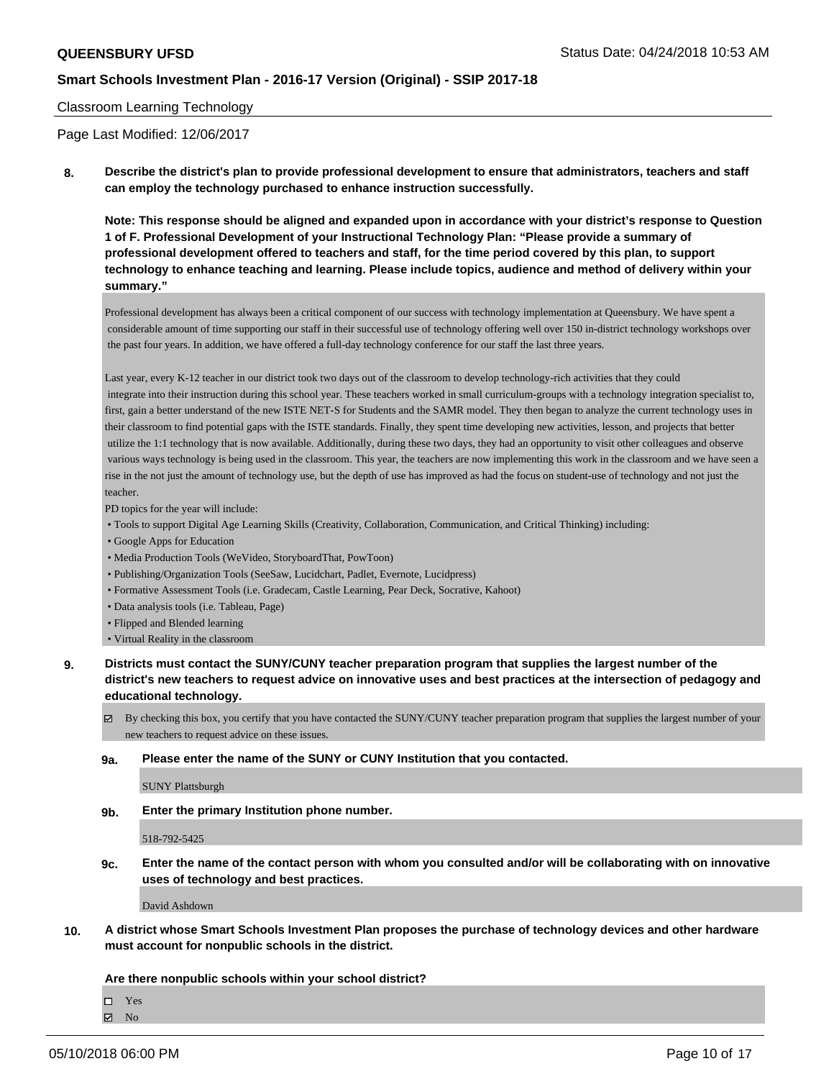#### Classroom Learning Technology

Page Last Modified: 12/06/2017

**8. Describe the district's plan to provide professional development to ensure that administrators, teachers and staff can employ the technology purchased to enhance instruction successfully.**

**Note: This response should be aligned and expanded upon in accordance with your district's response to Question 1 of F. Professional Development of your Instructional Technology Plan: "Please provide a summary of professional development offered to teachers and staff, for the time period covered by this plan, to support technology to enhance teaching and learning. Please include topics, audience and method of delivery within your summary."**

Professional development has always been a critical component of our success with technology implementation at Queensbury. We have spent a considerable amount of time supporting our staff in their successful use of technology offering well over 150 in-district technology workshops over the past four years. In addition, we have offered a full-day technology conference for our staff the last three years.

Last year, every K-12 teacher in our district took two days out of the classroom to develop technology-rich activities that they could integrate into their instruction during this school year. These teachers worked in small curriculum-groups with a technology integration specialist to, first, gain a better understand of the new ISTE NET-S for Students and the SAMR model. They then began to analyze the current technology uses in their classroom to find potential gaps with the ISTE standards. Finally, they spent time developing new activities, lesson, and projects that better utilize the 1:1 technology that is now available. Additionally, during these two days, they had an opportunity to visit other colleagues and observe various ways technology is being used in the classroom. This year, the teachers are now implementing this work in the classroom and we have seen a rise in the not just the amount of technology use, but the depth of use has improved as had the focus on student-use of technology and not just the teacher.

PD topics for the year will include:

- Tools to support Digital Age Learning Skills (Creativity, Collaboration, Communication, and Critical Thinking) including:
- Google Apps for Education
- Media Production Tools (WeVideo, StoryboardThat, PowToon)
- Publishing/Organization Tools (SeeSaw, Lucidchart, Padlet, Evernote, Lucidpress)
- Formative Assessment Tools (i.e. Gradecam, Castle Learning, Pear Deck, Socrative, Kahoot)
- Data analysis tools (i.e. Tableau, Page)
- Flipped and Blended learning
- Virtual Reality in the classroom
- **9. Districts must contact the SUNY/CUNY teacher preparation program that supplies the largest number of the district's new teachers to request advice on innovative uses and best practices at the intersection of pedagogy and educational technology.**
	- By checking this box, you certify that you have contacted the SUNY/CUNY teacher preparation program that supplies the largest number of your new teachers to request advice on these issues.
	- **9a. Please enter the name of the SUNY or CUNY Institution that you contacted.**

SUNY Plattsburgh

**9b. Enter the primary Institution phone number.**

518-792-5425

**9c. Enter the name of the contact person with whom you consulted and/or will be collaborating with on innovative uses of technology and best practices.**

David Ashdown

**10. A district whose Smart Schools Investment Plan proposes the purchase of technology devices and other hardware must account for nonpublic schools in the district.**

#### **Are there nonpublic schools within your school district?**

 $\Box$  Yes

 $\boxtimes$  No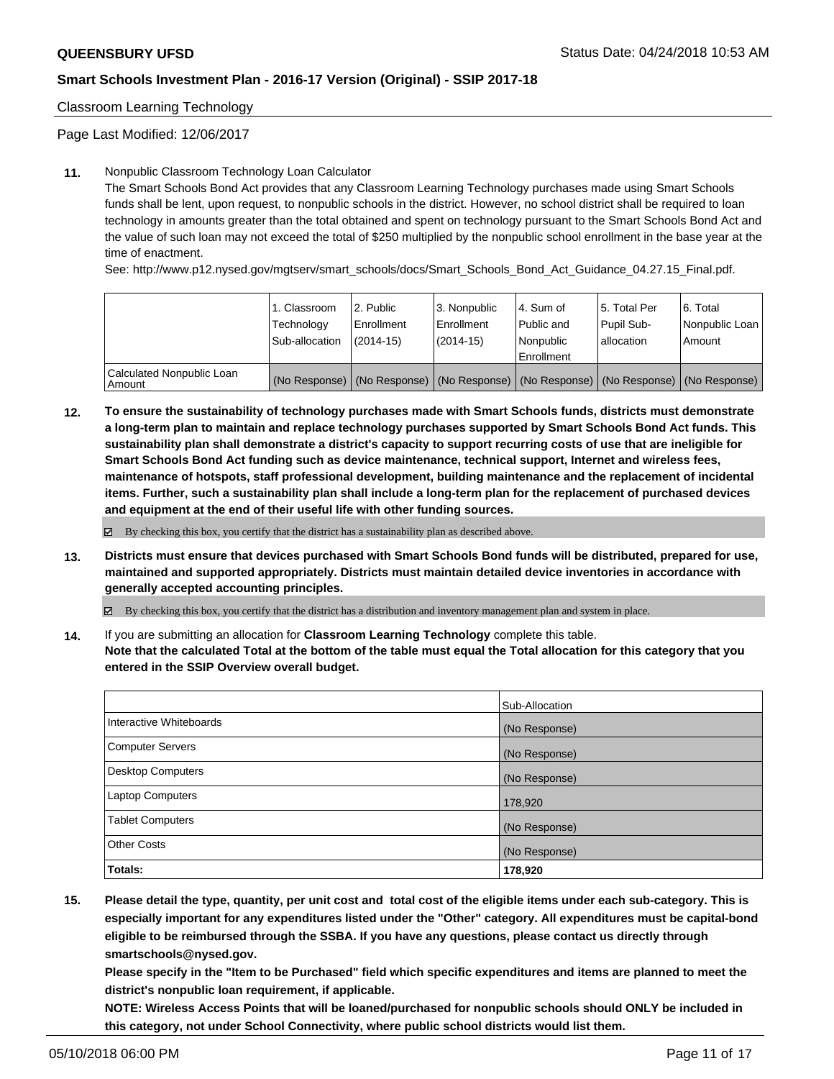Classroom Learning Technology

Page Last Modified: 12/06/2017

#### **11.** Nonpublic Classroom Technology Loan Calculator

The Smart Schools Bond Act provides that any Classroom Learning Technology purchases made using Smart Schools funds shall be lent, upon request, to nonpublic schools in the district. However, no school district shall be required to loan technology in amounts greater than the total obtained and spent on technology pursuant to the Smart Schools Bond Act and the value of such loan may not exceed the total of \$250 multiplied by the nonpublic school enrollment in the base year at the time of enactment.

See: http://www.p12.nysed.gov/mgtserv/smart\_schools/docs/Smart\_Schools\_Bond\_Act\_Guidance\_04.27.15\_Final.pdf.

|                                       | 1. Classroom<br>Technology<br>Sub-allocation | 2. Public<br>l Enrollment<br>(2014-15) | l 3. Nonpublic<br>l Enrollment<br>$(2014 - 15)$ | l 4. Sum of<br>Public and<br>l Nonpublic<br>Enrollment | 15. Total Per<br>Pupil Sub-<br>lallocation | l 6. Total<br>Nonpublic Loan<br>Amount                                                        |
|---------------------------------------|----------------------------------------------|----------------------------------------|-------------------------------------------------|--------------------------------------------------------|--------------------------------------------|-----------------------------------------------------------------------------------------------|
| Calculated Nonpublic Loan<br>l Amount |                                              |                                        |                                                 |                                                        |                                            | (No Response)   (No Response)   (No Response)   (No Response)   (No Response)   (No Response) |

**12. To ensure the sustainability of technology purchases made with Smart Schools funds, districts must demonstrate a long-term plan to maintain and replace technology purchases supported by Smart Schools Bond Act funds. This sustainability plan shall demonstrate a district's capacity to support recurring costs of use that are ineligible for Smart Schools Bond Act funding such as device maintenance, technical support, Internet and wireless fees, maintenance of hotspots, staff professional development, building maintenance and the replacement of incidental items. Further, such a sustainability plan shall include a long-term plan for the replacement of purchased devices and equipment at the end of their useful life with other funding sources.**

By checking this box, you certify that the district has a sustainability plan as described above.

**13. Districts must ensure that devices purchased with Smart Schools Bond funds will be distributed, prepared for use, maintained and supported appropriately. Districts must maintain detailed device inventories in accordance with generally accepted accounting principles.**

By checking this box, you certify that the district has a distribution and inventory management plan and system in place.

**14.** If you are submitting an allocation for **Classroom Learning Technology** complete this table. **Note that the calculated Total at the bottom of the table must equal the Total allocation for this category that you**

**entered in the SSIP Overview overall budget.**

|                          | Sub-Allocation |
|--------------------------|----------------|
| Interactive Whiteboards  | (No Response)  |
| <b>Computer Servers</b>  | (No Response)  |
| <b>Desktop Computers</b> | (No Response)  |
| <b>Laptop Computers</b>  | 178,920        |
| <b>Tablet Computers</b>  | (No Response)  |
| <b>Other Costs</b>       | (No Response)  |
| <b>Totals:</b>           | 178,920        |

**15. Please detail the type, quantity, per unit cost and total cost of the eligible items under each sub-category. This is especially important for any expenditures listed under the "Other" category. All expenditures must be capital-bond eligible to be reimbursed through the SSBA. If you have any questions, please contact us directly through smartschools@nysed.gov.**

**Please specify in the "Item to be Purchased" field which specific expenditures and items are planned to meet the district's nonpublic loan requirement, if applicable.**

**NOTE: Wireless Access Points that will be loaned/purchased for nonpublic schools should ONLY be included in this category, not under School Connectivity, where public school districts would list them.**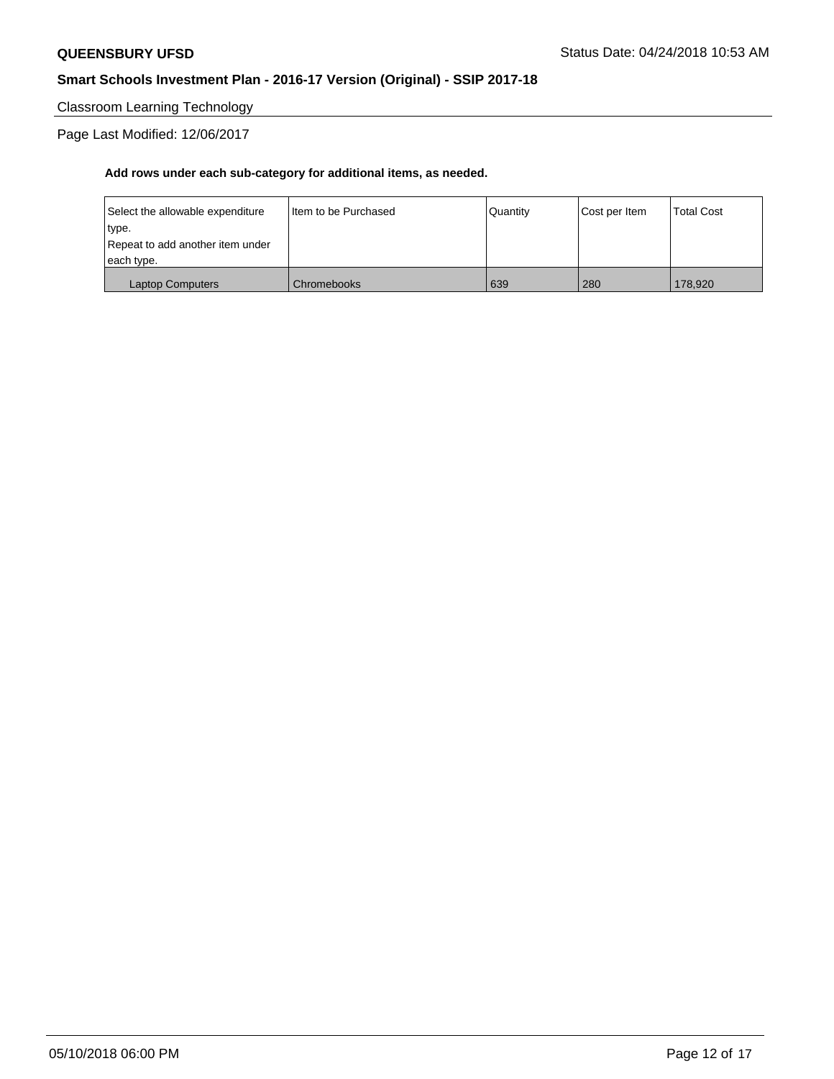Classroom Learning Technology

Page Last Modified: 12/06/2017

| Select the allowable expenditure | Iltem to be Purchased | Quantity | Cost per Item | <b>Total Cost</b> |
|----------------------------------|-----------------------|----------|---------------|-------------------|
| type.                            |                       |          |               |                   |
| Repeat to add another item under |                       |          |               |                   |
| each type.                       |                       |          |               |                   |
| <b>Laptop Computers</b>          | Chromebooks           | 639      | 280           | 178,920           |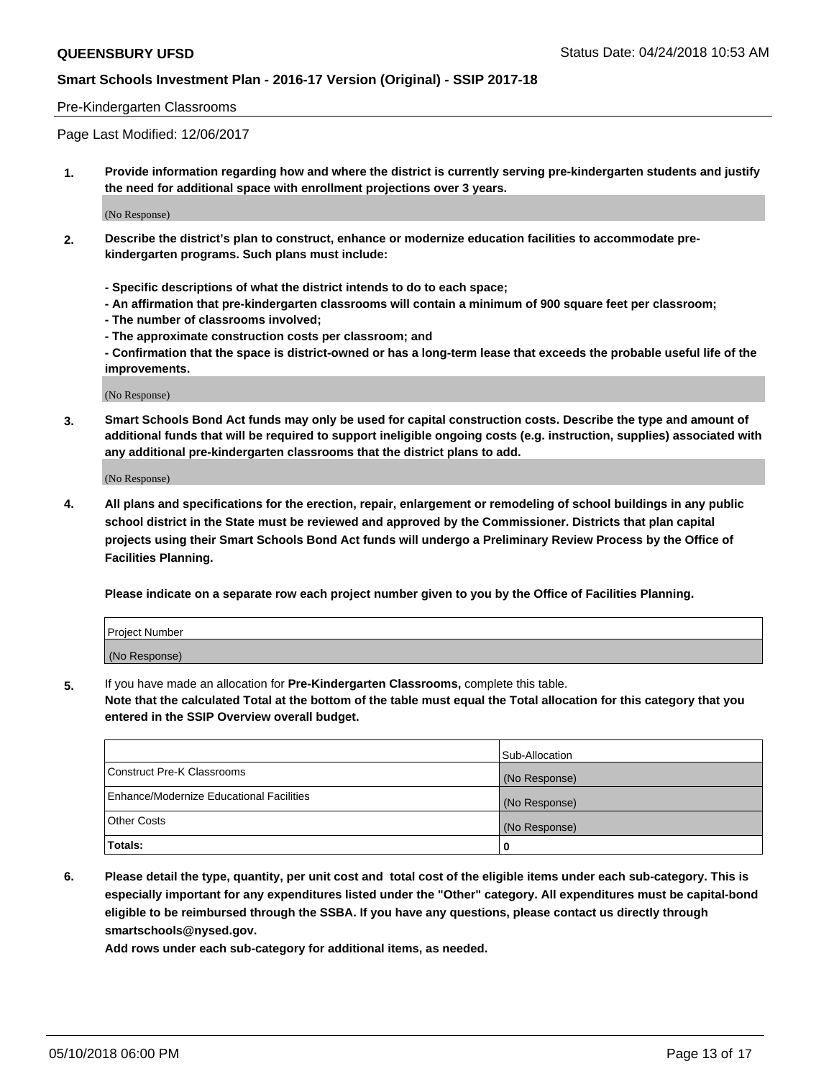#### Pre-Kindergarten Classrooms

Page Last Modified: 12/06/2017

**1. Provide information regarding how and where the district is currently serving pre-kindergarten students and justify the need for additional space with enrollment projections over 3 years.**

(No Response)

- **2. Describe the district's plan to construct, enhance or modernize education facilities to accommodate prekindergarten programs. Such plans must include:**
	- **Specific descriptions of what the district intends to do to each space;**
	- **An affirmation that pre-kindergarten classrooms will contain a minimum of 900 square feet per classroom;**
	- **The number of classrooms involved;**
	- **The approximate construction costs per classroom; and**
	- **Confirmation that the space is district-owned or has a long-term lease that exceeds the probable useful life of the improvements.**

(No Response)

**3. Smart Schools Bond Act funds may only be used for capital construction costs. Describe the type and amount of additional funds that will be required to support ineligible ongoing costs (e.g. instruction, supplies) associated with any additional pre-kindergarten classrooms that the district plans to add.**

(No Response)

**4. All plans and specifications for the erection, repair, enlargement or remodeling of school buildings in any public school district in the State must be reviewed and approved by the Commissioner. Districts that plan capital projects using their Smart Schools Bond Act funds will undergo a Preliminary Review Process by the Office of Facilities Planning.**

**Please indicate on a separate row each project number given to you by the Office of Facilities Planning.**

| Project Number |  |
|----------------|--|
| (No Response)  |  |

**5.** If you have made an allocation for **Pre-Kindergarten Classrooms,** complete this table.

**Note that the calculated Total at the bottom of the table must equal the Total allocation for this category that you entered in the SSIP Overview overall budget.**

|                                          | Sub-Allocation |
|------------------------------------------|----------------|
| Construct Pre-K Classrooms               | (No Response)  |
| Enhance/Modernize Educational Facilities | (No Response)  |
| Other Costs                              | (No Response)  |
| Totals:                                  | 0              |

**6. Please detail the type, quantity, per unit cost and total cost of the eligible items under each sub-category. This is especially important for any expenditures listed under the "Other" category. All expenditures must be capital-bond eligible to be reimbursed through the SSBA. If you have any questions, please contact us directly through smartschools@nysed.gov.**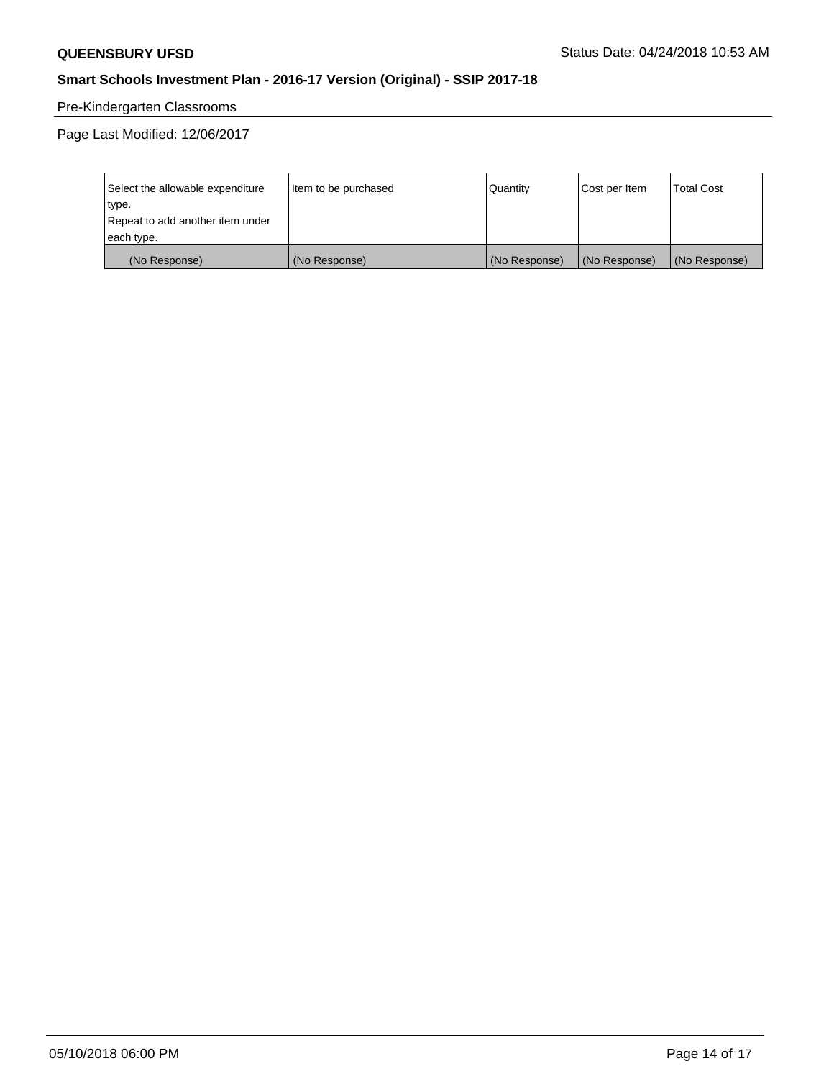# Pre-Kindergarten Classrooms

Page Last Modified: 12/06/2017

| Select the allowable expenditure | Item to be purchased | Quantity      | Cost per Item | <b>Total Cost</b> |
|----------------------------------|----------------------|---------------|---------------|-------------------|
| type.                            |                      |               |               |                   |
| Repeat to add another item under |                      |               |               |                   |
| each type.                       |                      |               |               |                   |
| (No Response)                    | (No Response)        | (No Response) | (No Response) | (No Response)     |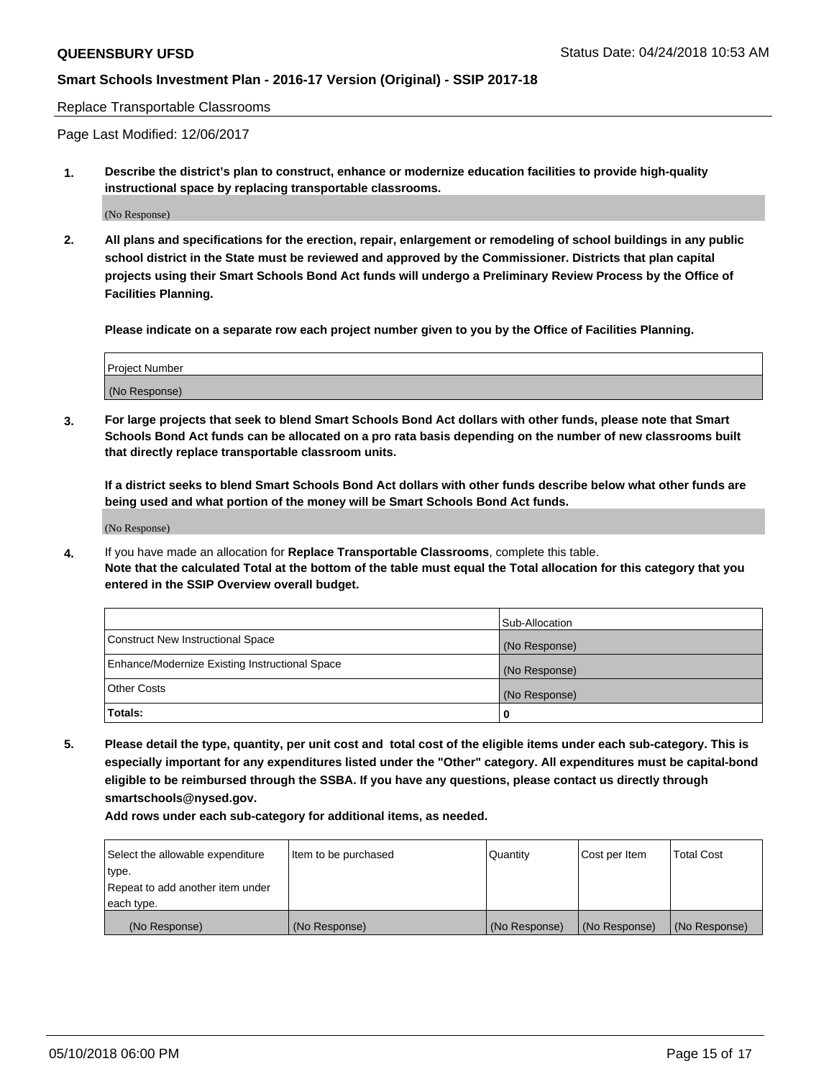Replace Transportable Classrooms

Page Last Modified: 12/06/2017

**1. Describe the district's plan to construct, enhance or modernize education facilities to provide high-quality instructional space by replacing transportable classrooms.**

(No Response)

**2. All plans and specifications for the erection, repair, enlargement or remodeling of school buildings in any public school district in the State must be reviewed and approved by the Commissioner. Districts that plan capital projects using their Smart Schools Bond Act funds will undergo a Preliminary Review Process by the Office of Facilities Planning.**

**Please indicate on a separate row each project number given to you by the Office of Facilities Planning.**

| <b>Project Number</b> |  |
|-----------------------|--|
| (No Response)         |  |
|                       |  |

**3. For large projects that seek to blend Smart Schools Bond Act dollars with other funds, please note that Smart Schools Bond Act funds can be allocated on a pro rata basis depending on the number of new classrooms built that directly replace transportable classroom units.**

**If a district seeks to blend Smart Schools Bond Act dollars with other funds describe below what other funds are being used and what portion of the money will be Smart Schools Bond Act funds.**

(No Response)

**4.** If you have made an allocation for **Replace Transportable Classrooms**, complete this table. **Note that the calculated Total at the bottom of the table must equal the Total allocation for this category that you entered in the SSIP Overview overall budget.**

|                                                | Sub-Allocation |
|------------------------------------------------|----------------|
| Construct New Instructional Space              | (No Response)  |
| Enhance/Modernize Existing Instructional Space | (No Response)  |
| Other Costs                                    | (No Response)  |
| Totals:                                        | 0              |

**5. Please detail the type, quantity, per unit cost and total cost of the eligible items under each sub-category. This is especially important for any expenditures listed under the "Other" category. All expenditures must be capital-bond eligible to be reimbursed through the SSBA. If you have any questions, please contact us directly through smartschools@nysed.gov.**

| Select the allowable expenditure | Item to be purchased | Quantity      | Cost per Item | <b>Total Cost</b> |
|----------------------------------|----------------------|---------------|---------------|-------------------|
| type.                            |                      |               |               |                   |
| Repeat to add another item under |                      |               |               |                   |
| each type.                       |                      |               |               |                   |
| (No Response)                    | (No Response)        | (No Response) | (No Response) | (No Response)     |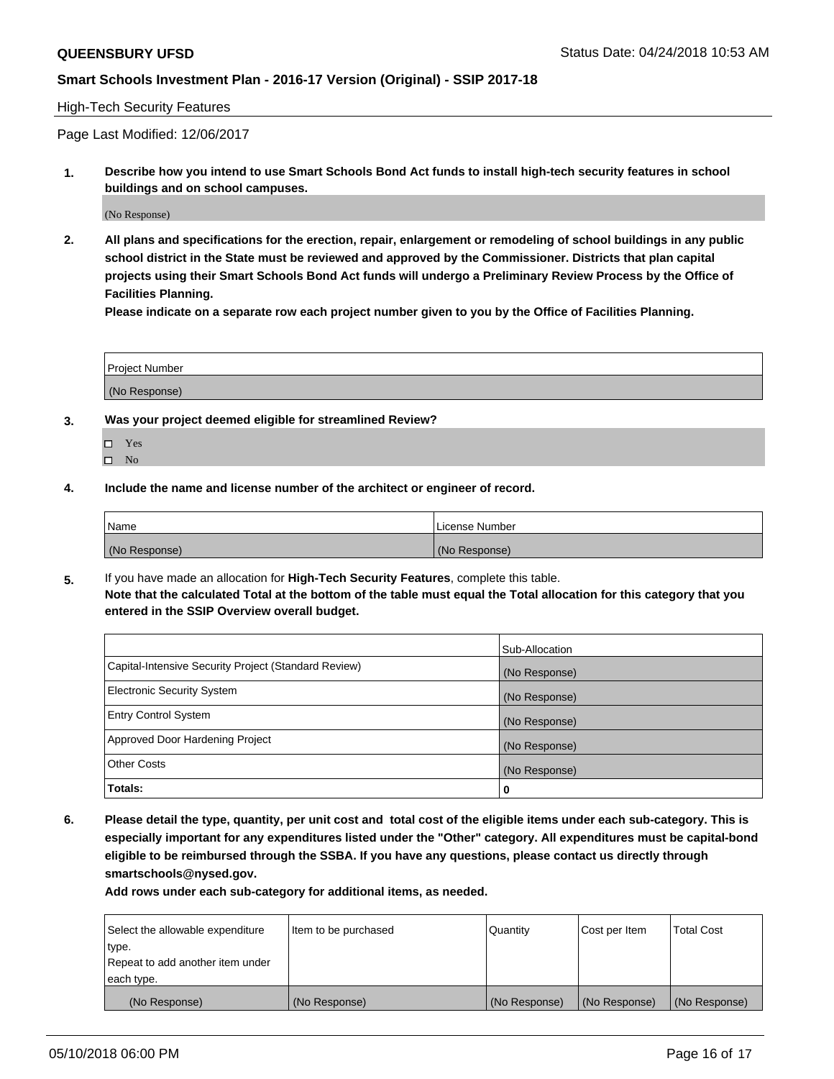#### High-Tech Security Features

Page Last Modified: 12/06/2017

**1. Describe how you intend to use Smart Schools Bond Act funds to install high-tech security features in school buildings and on school campuses.**

(No Response)

**2. All plans and specifications for the erection, repair, enlargement or remodeling of school buildings in any public school district in the State must be reviewed and approved by the Commissioner. Districts that plan capital projects using their Smart Schools Bond Act funds will undergo a Preliminary Review Process by the Office of Facilities Planning.** 

**Please indicate on a separate row each project number given to you by the Office of Facilities Planning.**

| <b>Project Number</b> |  |  |
|-----------------------|--|--|
|                       |  |  |
| (No Response)         |  |  |

- **3. Was your project deemed eligible for streamlined Review?**
	- Yes  $\square$  No
- **4. Include the name and license number of the architect or engineer of record.**

| Name          | License Number |
|---------------|----------------|
| (No Response) | (No Response)  |

**5.** If you have made an allocation for **High-Tech Security Features**, complete this table. **Note that the calculated Total at the bottom of the table must equal the Total allocation for this category that you entered in the SSIP Overview overall budget.**

|                                                      | Sub-Allocation |
|------------------------------------------------------|----------------|
| Capital-Intensive Security Project (Standard Review) | (No Response)  |
| <b>Electronic Security System</b>                    | (No Response)  |
| <b>Entry Control System</b>                          | (No Response)  |
| Approved Door Hardening Project                      | (No Response)  |
| <b>Other Costs</b>                                   | (No Response)  |
| Totals:                                              | 0              |

**6. Please detail the type, quantity, per unit cost and total cost of the eligible items under each sub-category. This is especially important for any expenditures listed under the "Other" category. All expenditures must be capital-bond eligible to be reimbursed through the SSBA. If you have any questions, please contact us directly through smartschools@nysed.gov.**

| Select the allowable expenditure | Item to be purchased | Quantity      | Cost per Item | <b>Total Cost</b> |
|----------------------------------|----------------------|---------------|---------------|-------------------|
| type.                            |                      |               |               |                   |
| Repeat to add another item under |                      |               |               |                   |
| each type.                       |                      |               |               |                   |
| (No Response)                    | (No Response)        | (No Response) | (No Response) | (No Response)     |